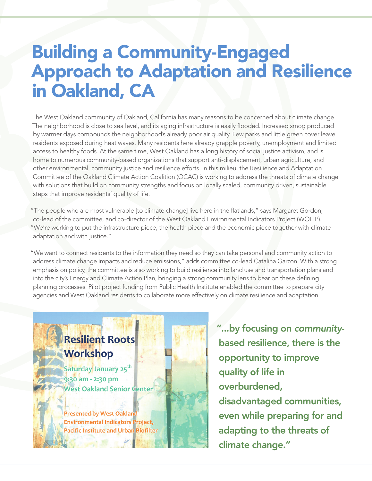## Building a Community-Engaged Approach to Adaptation and Resilience in Oakland, CA

The West Oakland community of Oakland, California has many reasons to be concerned about climate change. The neighborhood is close to sea level, and its aging infrastructure is easily flooded. Increased smog produced by warmer days compounds the neighborhood's already poor air quality. Few parks and little green cover leave residents exposed during heat waves. Many residents here already grapple poverty, unemployment and limited access to healthy foods. At the same time, West Oakland has a long history of social justice activism, and is home to numerous community-based organizations that support anti-displacement, urban agriculture, and other environmental, community justice and resilience efforts. In this milieu, the Resilience and Adaptation Committee of the [Oakland Climate Action Coalition \(OCAC\)](http://oaklandclimateaction.org/) is working to address the threats of climate change with solutions that build on community strengths and focus on locally scaled, community driven, sustainable steps that improve residents' quality of life.

"The people who are most vulnerable [to climate change] live here in the flatlands," says Margaret Gordon, co-lead of the committee, and co-director of the [West Oakland Environmental Indicators Project \(WOEIP](http://www.woeip.org/)). "We're working to put the infrastructure piece, the health piece and the economic piece together with climate adaptation and with justice."

"We want to connect residents to the information they need so they can take personal and community action to address climate change impacts and reduce emissions," adds committee co-lead Catalina Garzon. With a strong emphasis on policy, the committee is also working to build resilience into land use and transportation plans and into the city's Energy and Climate Action Plan, bringing a strong community lens to bear on these defining planning processes. Pilot project funding from Public Health Institute enabled the committee to prepare city agencies and West Oakland residents to collaborate more effectively on climate resilience and adaptation.

## Resilient Roots **Workshop**

Saturday January 25<sup>th</sup> 9:30 am - 2:30 pm **West Oakland Senior Center** 

**Presented by West Oakland Environmental Indicators Project, Pacific Institute and Urban Biofilter**  "...by focusing on *community*based resilience, there is the opportunity to improve quality of life in overburdened, disadvantaged communities, even while preparing for and adapting to the threats of climate change."